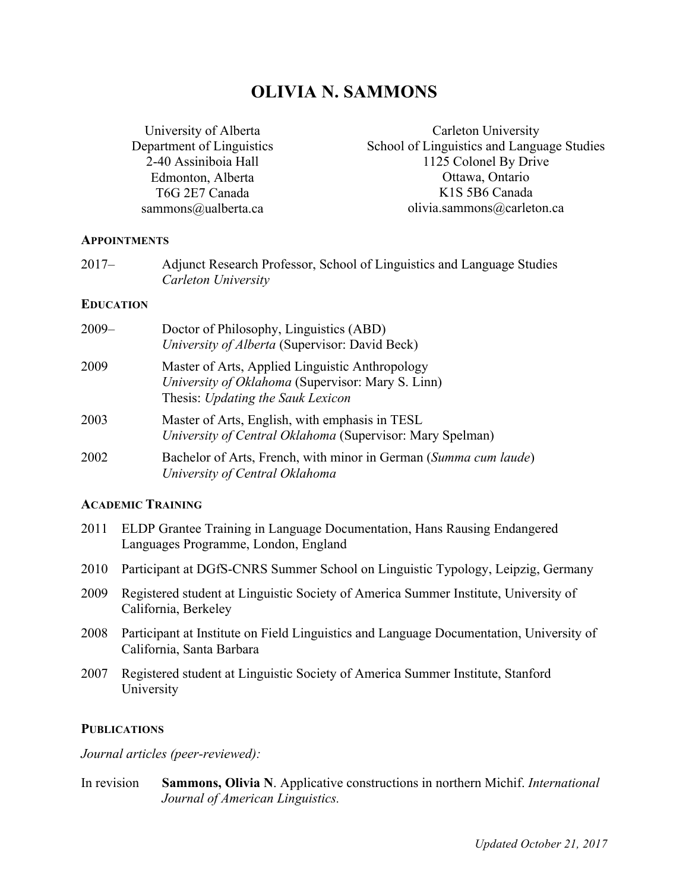# **OLIVIA N. SAMMONS**

University of Alberta Department of Linguistics 2-40 Assiniboia Hall Edmonton, Alberta T6G 2E7 Canada sammons@ualberta.ca

Carleton University School of Linguistics and Language Studies 1125 Colonel By Drive Ottawa, Ontario K1S 5B6 Canada olivia.sammons@carleton.ca

#### **APPOINTMENTS**

| $2017 -$ | Adjunct Research Professor, School of Linguistics and Language Studies |
|----------|------------------------------------------------------------------------|
|          | Carleton University                                                    |

#### **EDUCATION**

| 2009– | Doctor of Philosophy, Linguistics (ABD)<br>University of Alberta (Supervisor: David Beck)                                                 |
|-------|-------------------------------------------------------------------------------------------------------------------------------------------|
| 2009  | Master of Arts, Applied Linguistic Anthropology<br>University of Oklahoma (Supervisor: Mary S. Linn)<br>Thesis: Updating the Sauk Lexicon |
| 2003  | Master of Arts, English, with emphasis in TESL<br>University of Central Oklahoma (Supervisor: Mary Spelman)                               |
| 2002  | Bachelor of Arts, French, with minor in German (Summa cum laude)<br>University of Central Oklahoma                                        |

#### **ACADEMIC TRAINING**

- 2011 ELDP Grantee Training in Language Documentation, Hans Rausing Endangered Languages Programme, London, England
- 2010 Participant at DGfS-CNRS Summer School on Linguistic Typology, Leipzig, Germany
- 2009 Registered student at Linguistic Society of America Summer Institute, University of California, Berkeley
- 2008 Participant at Institute on Field Linguistics and Language Documentation, University of California, Santa Barbara
- 2007 Registered student at Linguistic Society of America Summer Institute, Stanford University

#### **PUBLICATIONS**

*Journal articles (peer-reviewed):*

In revision **Sammons, Olivia N**. Applicative constructions in northern Michif. *International Journal of American Linguistics.*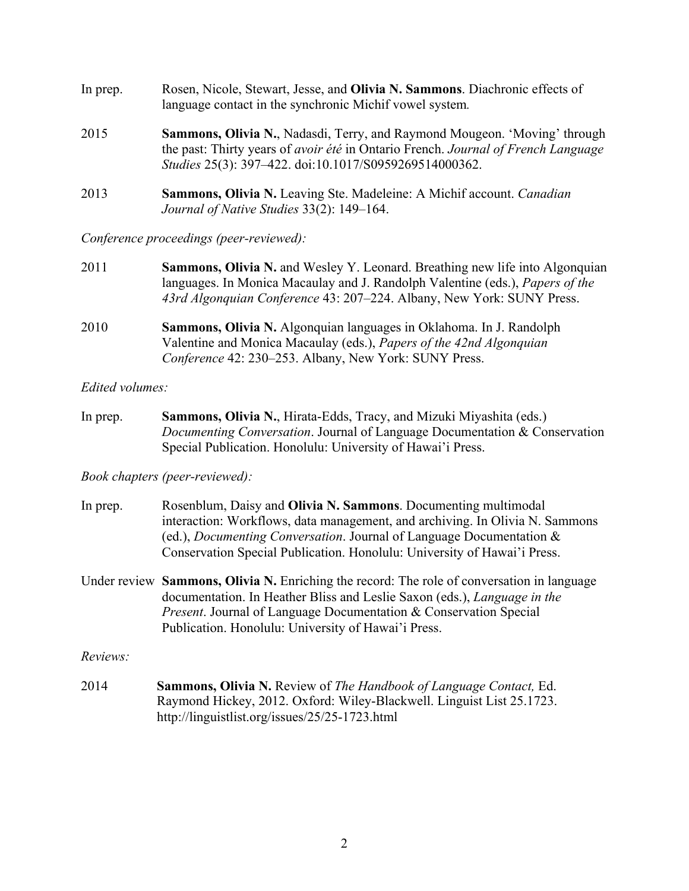| In prep. | Rosen, Nicole, Stewart, Jesse, and Olivia N. Sammons. Diachronic effects of<br>language contact in the synchronic Michif vowel system.                                                                                                        |
|----------|-----------------------------------------------------------------------------------------------------------------------------------------------------------------------------------------------------------------------------------------------|
| 2015     | <b>Sammons, Olivia N., Nadasdi, Terry, and Raymond Mougeon. 'Moving' through</b><br>the past: Thirty years of <i>avoir été</i> in Ontario French. <i>Journal of French Language</i><br>Studies 25(3): 397-422. doi:10.1017/S0959269514000362. |
| 2013     | Sammons, Olivia N. Leaving Ste. Madeleine: A Michif account. Canadian<br>Journal of Native Studies 33(2): 149–164.                                                                                                                            |

*Conference proceedings (peer-reviewed):*

- 2011 **Sammons, Olivia N.** and Wesley Y. Leonard. Breathing new life into Algonquian languages. In Monica Macaulay and J. Randolph Valentine (eds.), *Papers of the 43rd Algonquian Conference* 43: 207–224. Albany, New York: SUNY Press.
- 2010 **Sammons, Olivia N.** Algonquian languages in Oklahoma. In J. Randolph Valentine and Monica Macaulay (eds.), *Papers of the 42nd Algonquian Conference* 42: 230–253. Albany, New York: SUNY Press.

*Edited volumes:*

In prep. **Sammons, Olivia N.**, Hirata-Edds, Tracy, and Mizuki Miyashita (eds.) *Documenting Conversation*. Journal of Language Documentation & Conservation Special Publication. Honolulu: University of Hawai'i Press.

*Book chapters (peer-reviewed):*

| In prep. | Rosenblum, Daisy and <b>Olivia N. Sammons</b> . Documenting multimodal          |
|----------|---------------------------------------------------------------------------------|
|          | interaction: Workflows, data management, and archiving. In Olivia N. Sammons    |
|          | (ed.), <i>Documenting Conversation</i> . Journal of Language Documentation $\&$ |
|          | Conservation Special Publication. Honolulu: University of Hawai'i Press.        |

Under review **Sammons, Olivia N.** Enriching the record: The role of conversation in language documentation. In Heather Bliss and Leslie Saxon (eds.), *Language in the Present*. Journal of Language Documentation & Conservation Special Publication. Honolulu: University of Hawai'i Press.

*Reviews:*

2014 **Sammons, Olivia N.** Review of *The Handbook of Language Contact,* Ed. Raymond Hickey, 2012. Oxford: Wiley-Blackwell. Linguist List 25.1723. http://linguistlist.org/issues/25/25-1723.html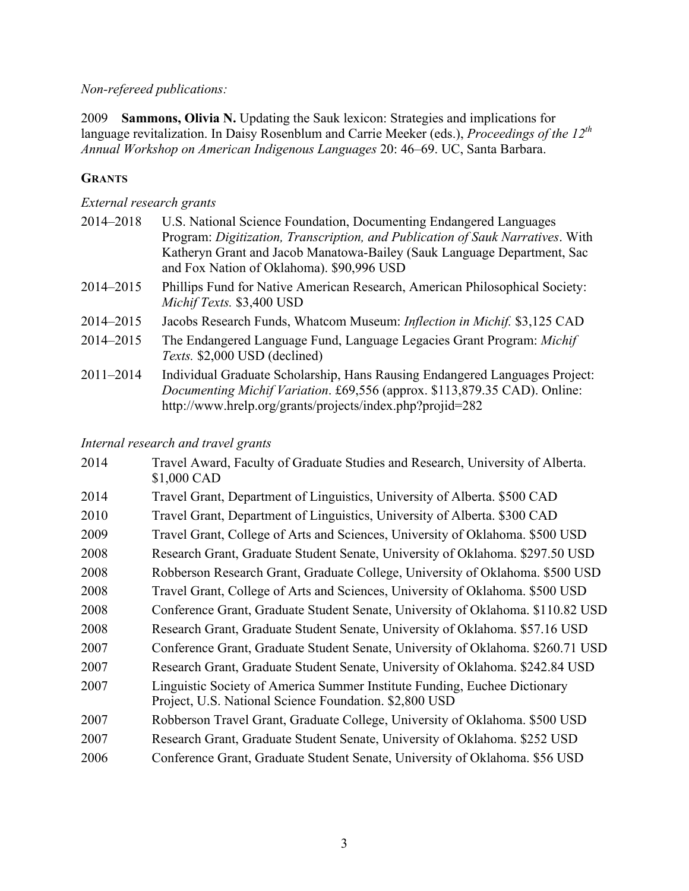# *Non-refereed publications:*

2009 **Sammons, Olivia N.** Updating the Sauk lexicon: Strategies and implications for language revitalization. In Daisy Rosenblum and Carrie Meeker (eds.), *Proceedings of the 12th Annual Workshop on American Indigenous Languages* 20: 46–69. UC, Santa Barbara.

# **GRANTS**

## *External research grants*

| 2014-2018     | U.S. National Science Foundation, Documenting Endangered Languages<br>Program: Digitization, Transcription, and Publication of Sauk Narratives. With                                                                  |
|---------------|-----------------------------------------------------------------------------------------------------------------------------------------------------------------------------------------------------------------------|
|               | Katheryn Grant and Jacob Manatowa-Bailey (Sauk Language Department, Sac<br>and Fox Nation of Oklahoma). \$90,996 USD                                                                                                  |
| 2014-2015     | Phillips Fund for Native American Research, American Philosophical Society:<br>Michif Texts. \$3,400 USD                                                                                                              |
| 2014-2015     | Jacobs Research Funds, Whatcom Museum: <i>Inflection in Michif.</i> \$3,125 CAD                                                                                                                                       |
| 2014-2015     | The Endangered Language Fund, Language Legacies Grant Program: Michif<br>Texts. \$2,000 USD (declined)                                                                                                                |
| $2011 - 2014$ | Individual Graduate Scholarship, Hans Rausing Endangered Languages Project:<br>Documenting Michif Variation. £69,556 (approx. \$113,879.35 CAD). Online:<br>http://www.hrelp.org/grants/projects/index.php?projid=282 |

*Internal research and travel grants*

| 2014 | Travel Award, Faculty of Graduate Studies and Research, University of Alberta.<br>\$1,000 CAD                                       |
|------|-------------------------------------------------------------------------------------------------------------------------------------|
| 2014 | Travel Grant, Department of Linguistics, University of Alberta. \$500 CAD                                                           |
| 2010 | Travel Grant, Department of Linguistics, University of Alberta. \$300 CAD                                                           |
| 2009 | Travel Grant, College of Arts and Sciences, University of Oklahoma. \$500 USD                                                       |
| 2008 | Research Grant, Graduate Student Senate, University of Oklahoma. \$297.50 USD                                                       |
| 2008 | Robberson Research Grant, Graduate College, University of Oklahoma. \$500 USD                                                       |
| 2008 | Travel Grant, College of Arts and Sciences, University of Oklahoma. \$500 USD                                                       |
| 2008 | Conference Grant, Graduate Student Senate, University of Oklahoma. \$110.82 USD                                                     |
| 2008 | Research Grant, Graduate Student Senate, University of Oklahoma. \$57.16 USD                                                        |
| 2007 | Conference Grant, Graduate Student Senate, University of Oklahoma. \$260.71 USD                                                     |
| 2007 | Research Grant, Graduate Student Senate, University of Oklahoma. \$242.84 USD                                                       |
| 2007 | Linguistic Society of America Summer Institute Funding, Euchee Dictionary<br>Project, U.S. National Science Foundation. \$2,800 USD |
| 2007 | Robberson Travel Grant, Graduate College, University of Oklahoma. \$500 USD                                                         |
| 2007 | Research Grant, Graduate Student Senate, University of Oklahoma. \$252 USD                                                          |
| 2006 | Conference Grant, Graduate Student Senate, University of Oklahoma. \$56 USD                                                         |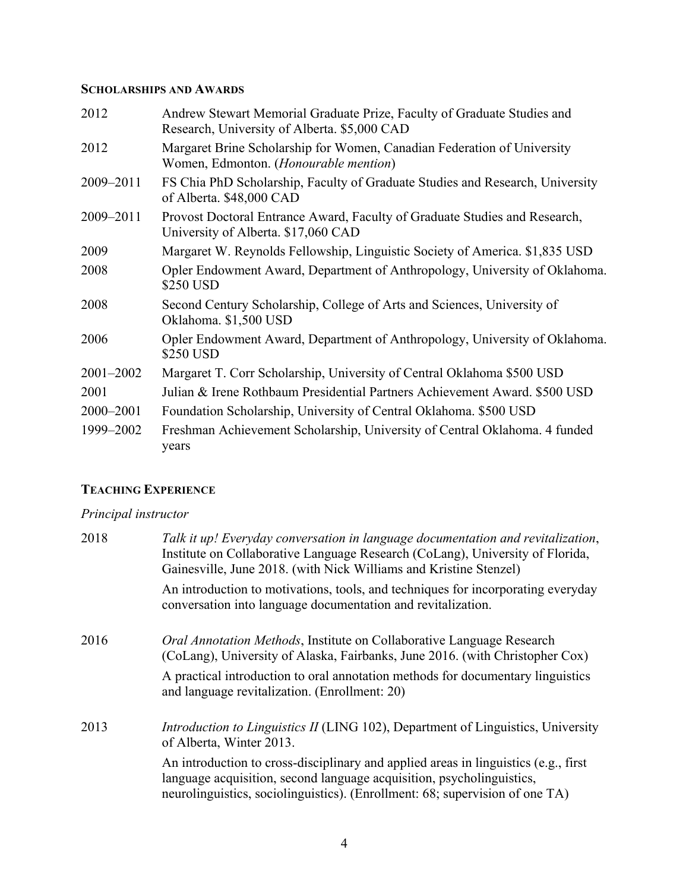# **SCHOLARSHIPS AND AWARDS**

| 2012      | Andrew Stewart Memorial Graduate Prize, Faculty of Graduate Studies and<br>Research, University of Alberta. \$5,000 CAD |
|-----------|-------------------------------------------------------------------------------------------------------------------------|
| 2012      | Margaret Brine Scholarship for Women, Canadian Federation of University<br>Women, Edmonton. (Honourable mention)        |
| 2009-2011 | FS Chia PhD Scholarship, Faculty of Graduate Studies and Research, University<br>of Alberta. \$48,000 CAD               |
| 2009-2011 | Provost Doctoral Entrance Award, Faculty of Graduate Studies and Research,<br>University of Alberta. \$17,060 CAD       |
| 2009      | Margaret W. Reynolds Fellowship, Linguistic Society of America. \$1,835 USD                                             |
| 2008      | Opler Endowment Award, Department of Anthropology, University of Oklahoma.<br>\$250 USD                                 |
| 2008      | Second Century Scholarship, College of Arts and Sciences, University of<br>Oklahoma. \$1,500 USD                        |
| 2006      | Opler Endowment Award, Department of Anthropology, University of Oklahoma.<br>\$250 USD                                 |
| 2001-2002 | Margaret T. Corr Scholarship, University of Central Oklahoma \$500 USD                                                  |
| 2001      | Julian & Irene Rothbaum Presidential Partners Achievement Award. \$500 USD                                              |
| 2000-2001 | Foundation Scholarship, University of Central Oklahoma. \$500 USD                                                       |
| 1999-2002 | Freshman Achievement Scholarship, University of Central Oklahoma. 4 funded<br>years                                     |

# **TEACHING EXPERIENCE**

# *Principal instructor*

| Talk it up! Everyday conversation in language documentation and revitalization,<br>Institute on Collaborative Language Research (CoLang), University of Florida,<br>Gainesville, June 2018. (with Nick Williams and Kristine Stenzel)        |
|----------------------------------------------------------------------------------------------------------------------------------------------------------------------------------------------------------------------------------------------|
| An introduction to motivations, tools, and techniques for incorporating everyday<br>conversation into language documentation and revitalization.                                                                                             |
| <i>Oral Annotation Methods</i> , Institute on Collaborative Language Research<br>(CoLang), University of Alaska, Fairbanks, June 2016. (with Christopher Cox)                                                                                |
| A practical introduction to oral annotation methods for documentary linguistics<br>and language revitalization. (Enrollment: 20)                                                                                                             |
| <i>Introduction to Linguistics II</i> (LING 102), Department of Linguistics, University<br>of Alberta, Winter 2013.                                                                                                                          |
| An introduction to cross-disciplinary and applied areas in linguistics (e.g., first<br>language acquisition, second language acquisition, psycholinguistics,<br>neurolinguistics, sociolinguistics). (Enrollment: 68; supervision of one TA) |
|                                                                                                                                                                                                                                              |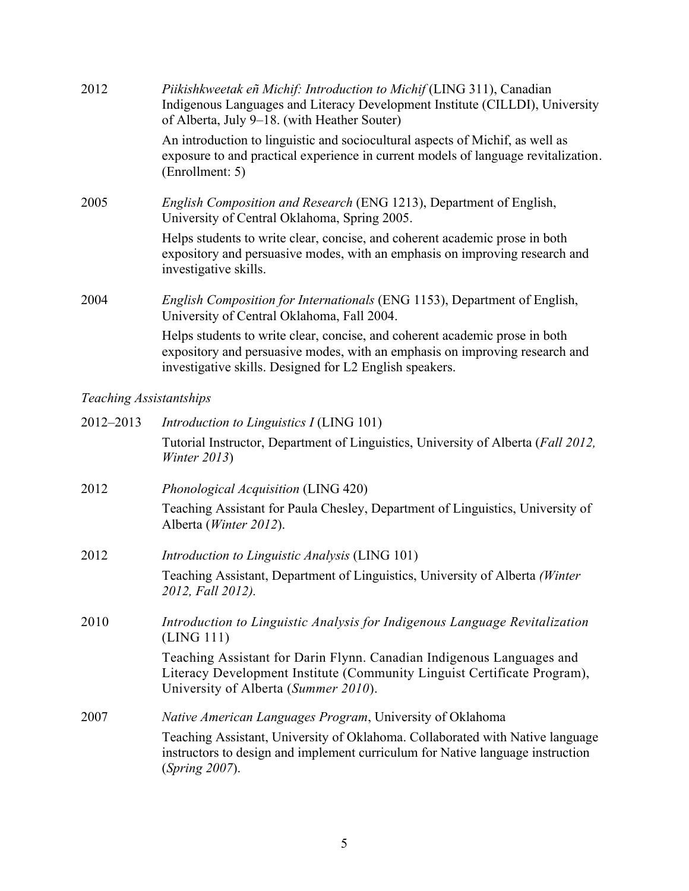| 2012 | Piikishkweetak eñ Michif: Introduction to Michif (LING 311), Canadian<br>Indigenous Languages and Literacy Development Institute (CILLDI), University<br>of Alberta, July 9-18. (with Heather Souter) |
|------|-------------------------------------------------------------------------------------------------------------------------------------------------------------------------------------------------------|
|      | An introduction to linguistic and sociocultural aspects of Michif, as well as<br>exposure to and practical experience in current models of language revitalization.<br>(Enrollment: 5)                |
| 2005 | <i>English Composition and Research</i> (ENG 1213), Department of English,<br>University of Central Oklahoma, Spring 2005.                                                                            |
|      | Helps students to write clear, concise, and coherent academic prose in both<br>expository and persuasive modes, with an emphasis on improving research and<br>investigative skills.                   |
| 2004 | <i>English Composition for Internationals (ENG 1153), Department of English,</i><br>University of Central Oklahoma, Fall 2004.                                                                        |
|      | Helps students to write clear, concise, and coherent academic prose in both<br>expository and persuasive modes, with an emphasis on improving research and                                            |

investigative skills. Designed for L2 English speakers.

# *Teaching Assistantships*

| 2012-2013 | <i>Introduction to Linguistics I</i> (LING 101)                                                                                                                                           |
|-----------|-------------------------------------------------------------------------------------------------------------------------------------------------------------------------------------------|
|           | Tutorial Instructor, Department of Linguistics, University of Alberta (Fall 2012,<br>Winter $2013$ )                                                                                      |
| 2012      | Phonological Acquisition (LING 420)                                                                                                                                                       |
|           | Teaching Assistant for Paula Chesley, Department of Linguistics, University of<br>Alberta ( <i>Winter 2012</i> ).                                                                         |
| 2012      | <i>Introduction to Linguistic Analysis</i> (LING 101)                                                                                                                                     |
|           | Teaching Assistant, Department of Linguistics, University of Alberta (Winter<br>2012, Fall 2012).                                                                                         |
| 2010      | Introduction to Linguistic Analysis for Indigenous Language Revitalization<br>(LING 111)                                                                                                  |
|           | Teaching Assistant for Darin Flynn. Canadian Indigenous Languages and<br>Literacy Development Institute (Community Linguist Certificate Program),<br>University of Alberta (Summer 2010). |
| 2007      | Native American Languages Program, University of Oklahoma                                                                                                                                 |
|           | Teaching Assistant, University of Oklahoma. Collaborated with Native language<br>instructors to design and implement curriculum for Native language instruction<br><i>(Spring 2007).</i>  |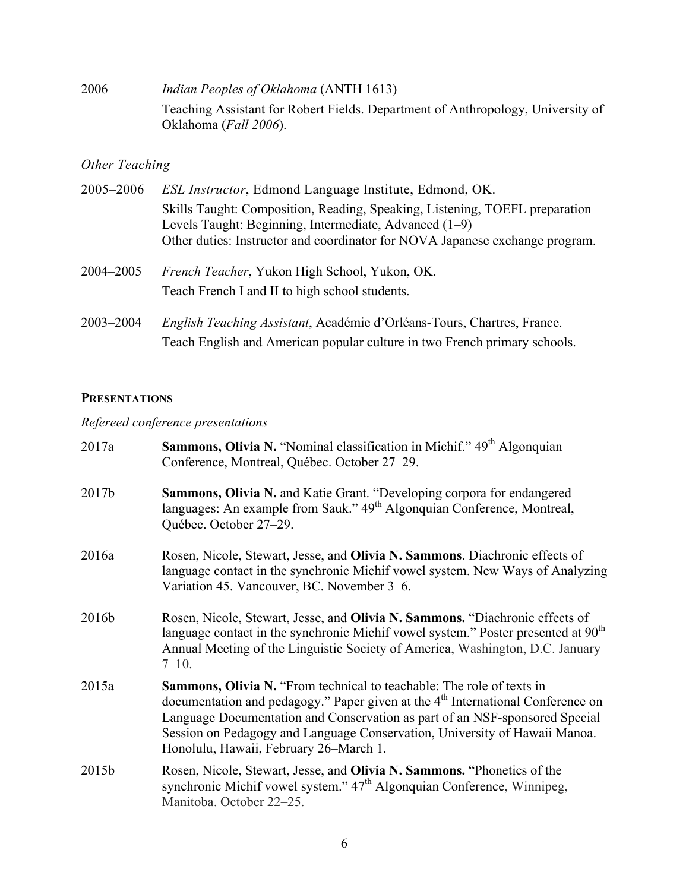2006 *Indian Peoples of Oklahoma* (ANTH 1613) Teaching Assistant for Robert Fields. Department of Anthropology, University of Oklahoma (*Fall 2006*).

# *Other Teaching*

| 2005-2006 | <i>ESL Instructor</i> , Edmond Language Institute, Edmond, OK.                                                                                                                                                        |
|-----------|-----------------------------------------------------------------------------------------------------------------------------------------------------------------------------------------------------------------------|
|           | Skills Taught: Composition, Reading, Speaking, Listening, TOEFL preparation<br>Levels Taught: Beginning, Intermediate, Advanced (1–9)<br>Other duties: Instructor and coordinator for NOVA Japanese exchange program. |
| 2004–2005 | <i>French Teacher</i> , Yukon High School, Yukon, OK.<br>Teach French I and II to high school students.                                                                                                               |
| 2003-2004 | English Teaching Assistant, Académie d'Orléans-Tours, Chartres, France.<br>Teach English and American popular culture in two French primary schools.                                                                  |

# **PRESENTATIONS**

# *Refereed conference presentations*

| 2017a | <b>Sammons, Olivia N.</b> "Nominal classification in Michif." 49 <sup>th</sup> Algonquian<br>Conference, Montreal, Québec. October 27-29.                                                                                                                                                                                                                                          |
|-------|------------------------------------------------------------------------------------------------------------------------------------------------------------------------------------------------------------------------------------------------------------------------------------------------------------------------------------------------------------------------------------|
| 2017b | <b>Sammons, Olivia N. and Katie Grant. "Developing corpora for endangered</b><br>languages: An example from Sauk." 49 <sup>th</sup> Algonquian Conference, Montreal,<br>Québec. October 27-29.                                                                                                                                                                                     |
| 2016a | Rosen, Nicole, Stewart, Jesse, and Olivia N. Sammons. Diachronic effects of<br>language contact in the synchronic Michif vowel system. New Ways of Analyzing<br>Variation 45. Vancouver, BC. November 3–6.                                                                                                                                                                         |
| 2016b | Rosen, Nicole, Stewart, Jesse, and Olivia N. Sammons. "Diachronic effects of<br>language contact in the synchronic Michif vowel system." Poster presented at $90th$<br>Annual Meeting of the Linguistic Society of America, Washington, D.C. January<br>$7 - 10.$                                                                                                                  |
| 2015a | <b>Sammons, Olivia N.</b> "From technical to teachable: The role of texts in<br>documentation and pedagogy." Paper given at the 4 <sup>th</sup> International Conference on<br>Language Documentation and Conservation as part of an NSF-sponsored Special<br>Session on Pedagogy and Language Conservation, University of Hawaii Manoa.<br>Honolulu, Hawaii, February 26–March 1. |
| 2015b | Rosen, Nicole, Stewart, Jesse, and Olivia N. Sammons. "Phonetics of the<br>synchronic Michif vowel system." 47 <sup>th</sup> Algonquian Conference, Winnipeg,<br>Manitoba. October 22-25.                                                                                                                                                                                          |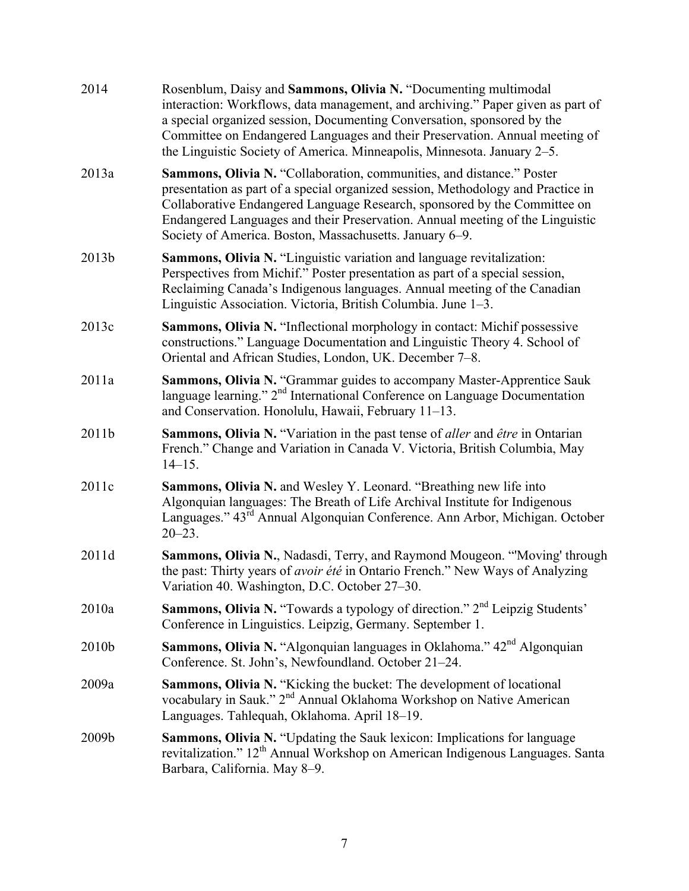| 2014  | Rosenblum, Daisy and Sammons, Olivia N. "Documenting multimodal<br>interaction: Workflows, data management, and archiving." Paper given as part of<br>a special organized session, Documenting Conversation, sponsored by the<br>Committee on Endangered Languages and their Preservation. Annual meeting of<br>the Linguistic Society of America. Minneapolis, Minnesota. January 2–5. |
|-------|-----------------------------------------------------------------------------------------------------------------------------------------------------------------------------------------------------------------------------------------------------------------------------------------------------------------------------------------------------------------------------------------|
| 2013a | Sammons, Olivia N. "Collaboration, communities, and distance." Poster<br>presentation as part of a special organized session, Methodology and Practice in<br>Collaborative Endangered Language Research, sponsored by the Committee on<br>Endangered Languages and their Preservation. Annual meeting of the Linguistic<br>Society of America. Boston, Massachusetts. January 6–9.      |
| 2013b | <b>Sammons, Olivia N.</b> "Linguistic variation and language revitalization:<br>Perspectives from Michif." Poster presentation as part of a special session,<br>Reclaiming Canada's Indigenous languages. Annual meeting of the Canadian<br>Linguistic Association. Victoria, British Columbia. June 1–3.                                                                               |
| 2013c | <b>Sammons, Olivia N.</b> "Inflectional morphology in contact: Michif possessive<br>constructions." Language Documentation and Linguistic Theory 4. School of<br>Oriental and African Studies, London, UK. December 7-8.                                                                                                                                                                |
| 2011a | Sammons, Olivia N. "Grammar guides to accompany Master-Apprentice Sauk<br>language learning." 2 <sup>nd</sup> International Conference on Language Documentation<br>and Conservation. Honolulu, Hawaii, February 11–13.                                                                                                                                                                 |
| 2011b | <b>Sammons, Olivia N.</b> "Variation in the past tense of <i>aller</i> and <i>être</i> in Ontarian<br>French." Change and Variation in Canada V. Victoria, British Columbia, May<br>$14 - 15$ .                                                                                                                                                                                         |
| 2011c | Sammons, Olivia N. and Wesley Y. Leonard. "Breathing new life into<br>Algonquian languages: The Breath of Life Archival Institute for Indigenous<br>Languages." 43 <sup>rd</sup> Annual Algonquian Conference. Ann Arbor, Michigan. October<br>$20 - 23$ .                                                                                                                              |
| 2011d | Sammons, Olivia N., Nadasdi, Terry, and Raymond Mougeon. "Moving' through<br>the past: Thirty years of <i>avoir été</i> in Ontario French." New Ways of Analyzing<br>Variation 40. Washington, D.C. October 27–30.                                                                                                                                                                      |
| 2010a | Sammons, Olivia N. "Towards a typology of direction." 2 <sup>nd</sup> Leipzig Students'<br>Conference in Linguistics. Leipzig, Germany. September 1.                                                                                                                                                                                                                                    |
| 2010b | Sammons, Olivia N. "Algonquian languages in Oklahoma." 42 <sup>nd</sup> Algonquian<br>Conference. St. John's, Newfoundland. October 21-24.                                                                                                                                                                                                                                              |
| 2009a | Sammons, Olivia N. "Kicking the bucket: The development of locational<br>vocabulary in Sauk." 2 <sup>nd</sup> Annual Oklahoma Workshop on Native American<br>Languages. Tahlequah, Oklahoma. April 18-19.                                                                                                                                                                               |
| 2009b | Sammons, Olivia N. "Updating the Sauk lexicon: Implications for language<br>revitalization." 12 <sup>th</sup> Annual Workshop on American Indigenous Languages. Santa<br>Barbara, California. May 8-9.                                                                                                                                                                                  |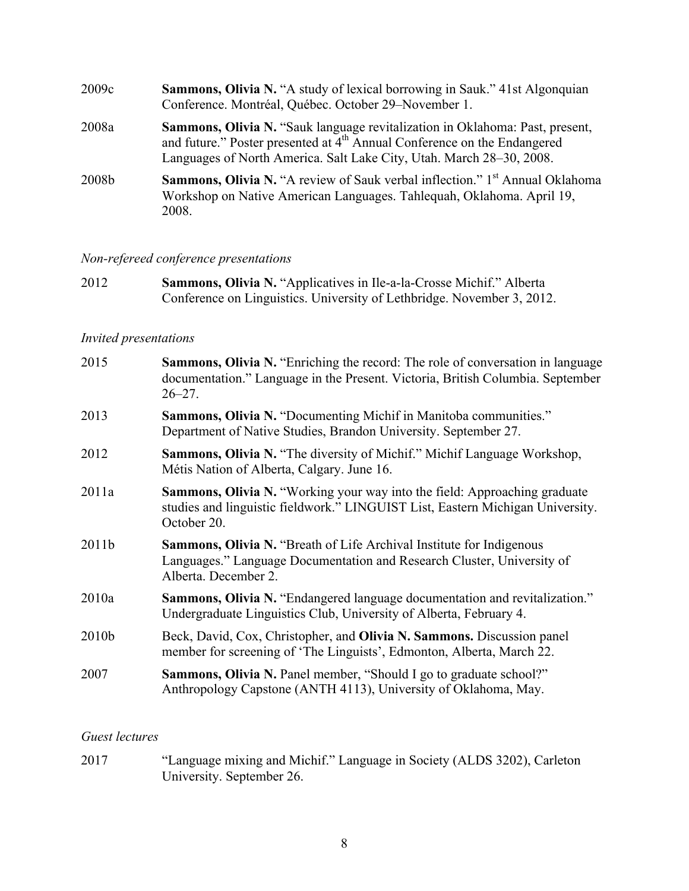| 2009c | <b>Sammons, Olivia N.</b> "A study of lexical borrowing in Sauk." 41st Algonquian<br>Conference. Montréal, Québec. October 29-November 1.                                                                                                    |
|-------|----------------------------------------------------------------------------------------------------------------------------------------------------------------------------------------------------------------------------------------------|
| 2008a | Sammons, Olivia N. "Sauk language revitalization in Oklahoma: Past, present,<br>and future." Poster presented at 4 <sup>th</sup> Annual Conference on the Endangered<br>Languages of North America. Salt Lake City, Utah. March 28–30, 2008. |
| 2008b | <b>Sammons, Olivia N.</b> "A review of Sauk verbal inflection." 1 <sup>st</sup> Annual Oklahoma<br>Workshop on Native American Languages. Tahlequah, Oklahoma. April 19,<br>2008.                                                            |

# *Non-refereed conference presentations*

2012 **Sammons, Olivia N.** "Applicatives in Ile-a-la-Crosse Michif." Alberta Conference on Linguistics. University of Lethbridge. November 3, 2012.

### *Invited presentations*

| 2015  | <b>Sammons, Olivia N.</b> "Enriching the record: The role of conversation in language<br>documentation." Language in the Present. Victoria, British Columbia. September<br>$26 - 27$ . |
|-------|----------------------------------------------------------------------------------------------------------------------------------------------------------------------------------------|
| 2013  | Sammons, Olivia N. "Documenting Michif in Manitoba communities."<br>Department of Native Studies, Brandon University. September 27.                                                    |
| 2012  | Sammons, Olivia N. "The diversity of Michif." Michif Language Workshop,<br>Métis Nation of Alberta, Calgary. June 16.                                                                  |
| 2011a | <b>Sammons, Olivia N. "Working your way into the field: Approaching graduate</b><br>studies and linguistic fieldwork." LINGUIST List, Eastern Michigan University.<br>October 20.      |
| 2011b | <b>Sammons, Olivia N.</b> "Breath of Life Archival Institute for Indigenous<br>Languages." Language Documentation and Research Cluster, University of<br>Alberta. December 2.          |
| 2010a | Sammons, Olivia N. "Endangered language documentation and revitalization."<br>Undergraduate Linguistics Club, University of Alberta, February 4.                                       |
| 2010b | Beck, David, Cox, Christopher, and Olivia N. Sammons. Discussion panel<br>member for screening of 'The Linguists', Edmonton, Alberta, March 22.                                        |
| 2007  | <b>Sammons, Olivia N. Panel member, "Should I go to graduate school?"</b><br>Anthropology Capstone (ANTH 4113), University of Oklahoma, May.                                           |
|       |                                                                                                                                                                                        |

### *Guest lectures*

2017 "Language mixing and Michif." Language in Society (ALDS 3202), Carleton University. September 26.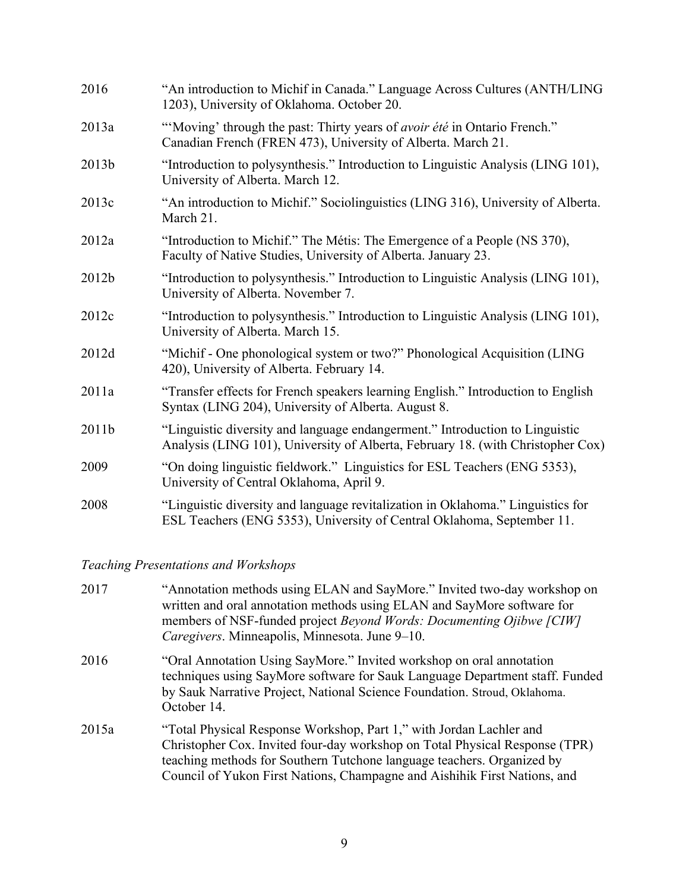| 2016  | "An introduction to Michif in Canada." Language Across Cultures (ANTH/LING<br>1203), University of Oklahoma. October 20.                                        |
|-------|-----------------------------------------------------------------------------------------------------------------------------------------------------------------|
| 2013a | "Moving' through the past: Thirty years of <i>avoir été</i> in Ontario French."<br>Canadian French (FREN 473), University of Alberta. March 21.                 |
| 2013b | "Introduction to polysynthesis." Introduction to Linguistic Analysis (LING 101),<br>University of Alberta. March 12.                                            |
| 2013c | "An introduction to Michif." Sociolinguistics (LING 316), University of Alberta.<br>March 21.                                                                   |
| 2012a | "Introduction to Michif." The Métis: The Emergence of a People (NS 370),<br>Faculty of Native Studies, University of Alberta. January 23.                       |
| 2012b | "Introduction to polysynthesis." Introduction to Linguistic Analysis (LING 101),<br>University of Alberta. November 7.                                          |
| 2012c | "Introduction to polysynthesis." Introduction to Linguistic Analysis (LING 101),<br>University of Alberta. March 15.                                            |
| 2012d | "Michif - One phonological system or two?" Phonological Acquisition (LING<br>420), University of Alberta. February 14.                                          |
| 2011a | "Transfer effects for French speakers learning English." Introduction to English<br>Syntax (LING 204), University of Alberta. August 8.                         |
| 2011b | "Linguistic diversity and language endangerment." Introduction to Linguistic<br>Analysis (LING 101), University of Alberta, February 18. (with Christopher Cox) |
| 2009  | "On doing linguistic fieldwork." Linguistics for ESL Teachers (ENG 5353),<br>University of Central Oklahoma, April 9.                                           |
| 2008  | "Linguistic diversity and language revitalization in Oklahoma." Linguistics for<br>ESL Teachers (ENG 5353), University of Central Oklahoma, September 11.       |

*Teaching Presentations and Workshops*

| 2017  | "Annotation methods using ELAN and SayMore." Invited two-day workshop on<br>written and oral annotation methods using ELAN and SayMore software for<br>members of NSF-funded project Beyond Words: Documenting Ojibwe [CIW]<br>Caregivers. Minneapolis, Minnesota. June 9–10.                             |
|-------|-----------------------------------------------------------------------------------------------------------------------------------------------------------------------------------------------------------------------------------------------------------------------------------------------------------|
| 2016  | "Oral Annotation Using SayMore." Invited workshop on oral annotation<br>techniques using SayMore software for Sauk Language Department staff. Funded<br>by Sauk Narrative Project, National Science Foundation. Stroud, Oklahoma.<br>October 14.                                                          |
| 2015a | "Total Physical Response Workshop, Part 1," with Jordan Lachler and<br>Christopher Cox. Invited four-day workshop on Total Physical Response (TPR)<br>teaching methods for Southern Tutchone language teachers. Organized by<br>Council of Yukon First Nations, Champagne and Aishihik First Nations, and |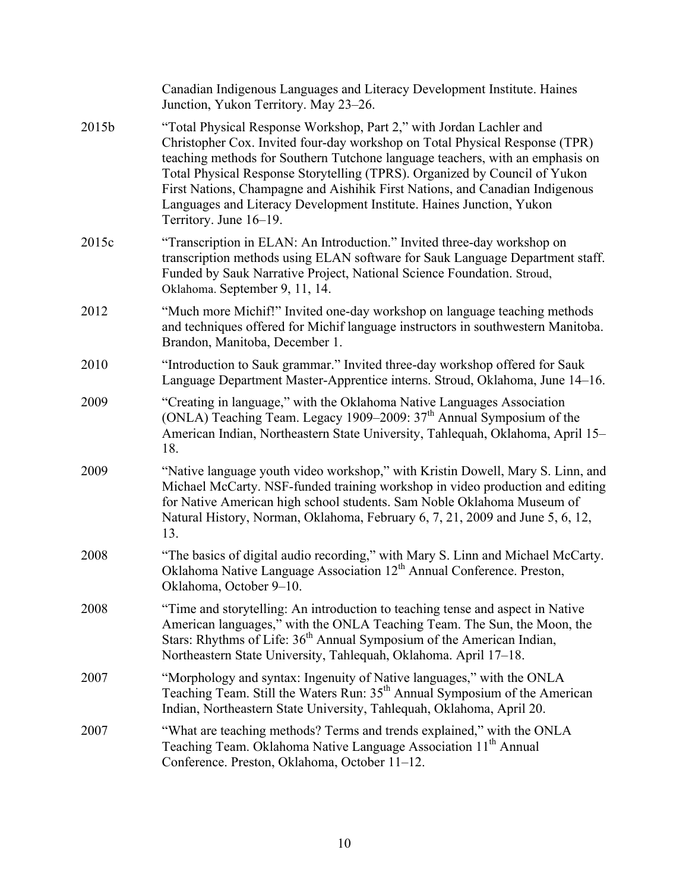|       | Canadian Indigenous Languages and Literacy Development Institute. Haines<br>Junction, Yukon Territory. May 23–26.                                                                                                                                                                                                                                                                                                                                                                                   |
|-------|-----------------------------------------------------------------------------------------------------------------------------------------------------------------------------------------------------------------------------------------------------------------------------------------------------------------------------------------------------------------------------------------------------------------------------------------------------------------------------------------------------|
| 2015b | "Total Physical Response Workshop, Part 2," with Jordan Lachler and<br>Christopher Cox. Invited four-day workshop on Total Physical Response (TPR)<br>teaching methods for Southern Tutchone language teachers, with an emphasis on<br>Total Physical Response Storytelling (TPRS). Organized by Council of Yukon<br>First Nations, Champagne and Aishihik First Nations, and Canadian Indigenous<br>Languages and Literacy Development Institute. Haines Junction, Yukon<br>Territory. June 16-19. |
| 2015c | "Transcription in ELAN: An Introduction." Invited three-day workshop on<br>transcription methods using ELAN software for Sauk Language Department staff.<br>Funded by Sauk Narrative Project, National Science Foundation. Stroud,<br>Oklahoma. September 9, 11, 14.                                                                                                                                                                                                                                |
| 2012  | "Much more Michif!" Invited one-day workshop on language teaching methods<br>and techniques offered for Michif language instructors in southwestern Manitoba.<br>Brandon, Manitoba, December 1.                                                                                                                                                                                                                                                                                                     |
| 2010  | "Introduction to Sauk grammar." Invited three-day workshop offered for Sauk<br>Language Department Master-Apprentice interns. Stroud, Oklahoma, June 14-16.                                                                                                                                                                                                                                                                                                                                         |
| 2009  | "Creating in language," with the Oklahoma Native Languages Association<br>(ONLA) Teaching Team. Legacy 1909–2009: $37th$ Annual Symposium of the<br>American Indian, Northeastern State University, Tahlequah, Oklahoma, April 15-<br>18.                                                                                                                                                                                                                                                           |
| 2009  | "Native language youth video workshop," with Kristin Dowell, Mary S. Linn, and<br>Michael McCarty. NSF-funded training workshop in video production and editing<br>for Native American high school students. Sam Noble Oklahoma Museum of<br>Natural History, Norman, Oklahoma, February 6, 7, 21, 2009 and June 5, 6, 12,<br>13.                                                                                                                                                                   |
| 2008  | "The basics of digital audio recording," with Mary S. Linn and Michael McCarty.<br>Oklahoma Native Language Association 12 <sup>th</sup> Annual Conference. Preston,<br>Oklahoma, October 9–10.                                                                                                                                                                                                                                                                                                     |
| 2008  | "Time and storytelling: An introduction to teaching tense and aspect in Native<br>American languages," with the ONLA Teaching Team. The Sun, the Moon, the<br>Stars: Rhythms of Life: 36 <sup>th</sup> Annual Symposium of the American Indian,<br>Northeastern State University, Tahlequah, Oklahoma. April 17-18.                                                                                                                                                                                 |
| 2007  | "Morphology and syntax: Ingenuity of Native languages," with the ONLA<br>Teaching Team. Still the Waters Run: 35 <sup>th</sup> Annual Symposium of the American<br>Indian, Northeastern State University, Tahlequah, Oklahoma, April 20.                                                                                                                                                                                                                                                            |
| 2007  | "What are teaching methods? Terms and trends explained," with the ONLA<br>Teaching Team. Oklahoma Native Language Association 11 <sup>th</sup> Annual<br>Conference. Preston, Oklahoma, October 11-12.                                                                                                                                                                                                                                                                                              |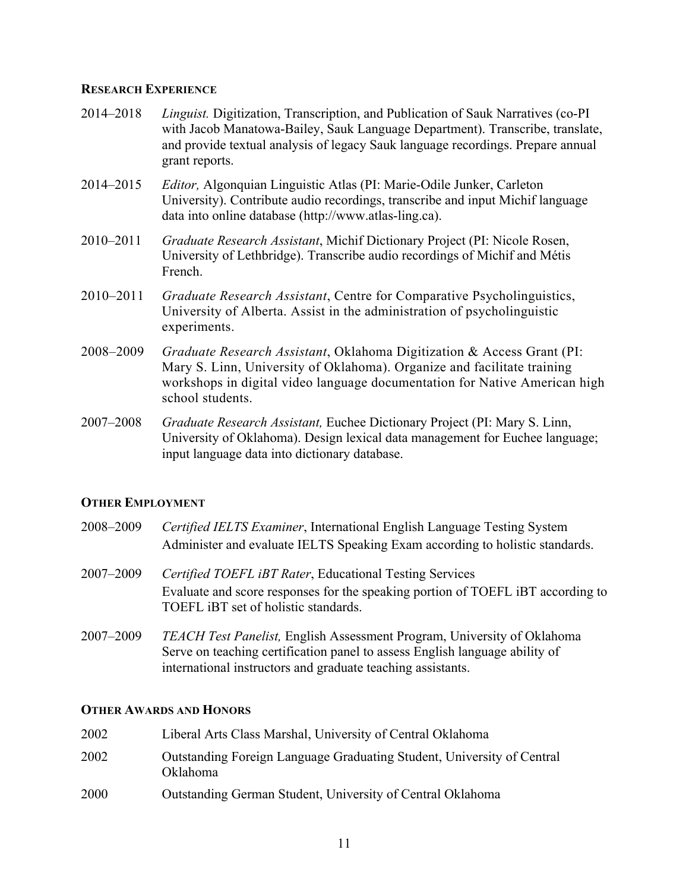### **RESEARCH EXPERIENCE**

- 2014–2018 *Linguist.* Digitization, Transcription, and Publication of Sauk Narratives (co-PI with Jacob Manatowa-Bailey, Sauk Language Department). Transcribe, translate, and provide textual analysis of legacy Sauk language recordings. Prepare annual grant reports.
- 2014–2015 *Editor,* Algonquian Linguistic Atlas (PI: Marie-Odile Junker, Carleton University). Contribute audio recordings, transcribe and input Michif language data into online database (http://www.atlas-ling.ca).
- 2010–2011 *Graduate Research Assistant*, Michif Dictionary Project (PI: Nicole Rosen, University of Lethbridge). Transcribe audio recordings of Michif and Métis French.
- 2010–2011 *Graduate Research Assistant*, Centre for Comparative Psycholinguistics, University of Alberta. Assist in the administration of psycholinguistic experiments.
- 2008–2009 *Graduate Research Assistant*, Oklahoma Digitization & Access Grant (PI: Mary S. Linn, University of Oklahoma). Organize and facilitate training workshops in digital video language documentation for Native American high school students.
- 2007–2008 *Graduate Research Assistant,* Euchee Dictionary Project (PI: Mary S. Linn, University of Oklahoma). Design lexical data management for Euchee language; input language data into dictionary database.

### **OTHER EMPLOYMENT**

- 2008–2009 *Certified IELTS Examiner*, International English Language Testing System Administer and evaluate IELTS Speaking Exam according to holistic standards.
- 2007–2009 *Certified TOEFL iBT Rater*, Educational Testing Services Evaluate and score responses for the speaking portion of TOEFL iBT according to TOEFL iBT set of holistic standards.
- 2007–2009 *TEACH Test Panelist,* English Assessment Program, University of Oklahoma Serve on teaching certification panel to assess English language ability of international instructors and graduate teaching assistants.

#### **OTHER AWARDS AND HONORS**

| 2002 | Liberal Arts Class Marshal, University of Central Oklahoma                                |
|------|-------------------------------------------------------------------------------------------|
| 2002 | Outstanding Foreign Language Graduating Student, University of Central<br><b>Oklahoma</b> |
| 2000 | Outstanding German Student, University of Central Oklahoma                                |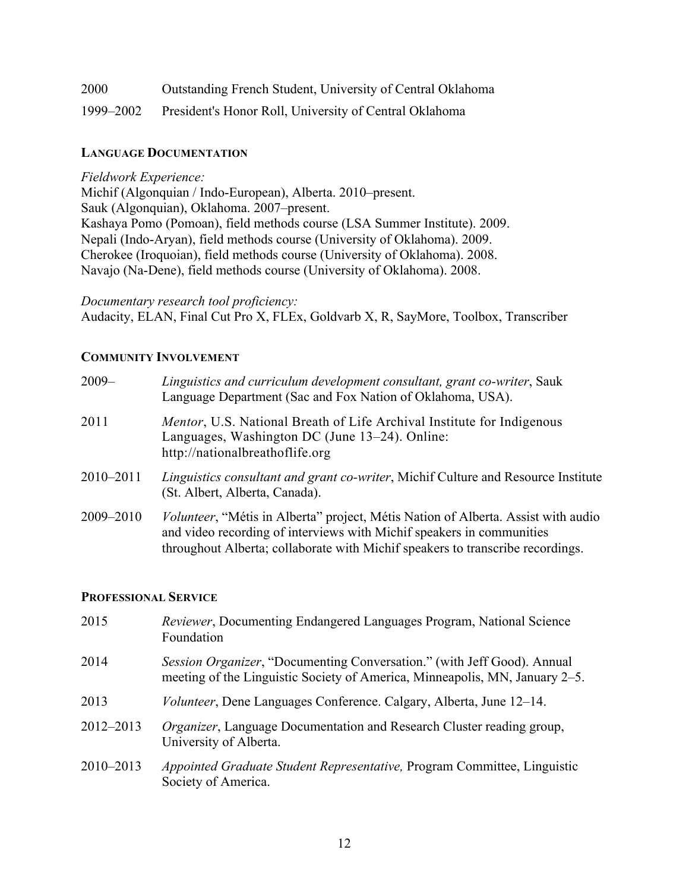| 2000      | Outstanding French Student, University of Central Oklahoma |
|-----------|------------------------------------------------------------|
| 1999–2002 | President's Honor Roll, University of Central Oklahoma     |

### **LANGUAGE DOCUMENTATION**

### *Fieldwork Experience:*

Michif (Algonquian / Indo-European), Alberta. 2010–present. Sauk (Algonquian), Oklahoma. 2007–present. Kashaya Pomo (Pomoan), field methods course (LSA Summer Institute). 2009. Nepali (Indo-Aryan), field methods course (University of Oklahoma). 2009. Cherokee (Iroquoian), field methods course (University of Oklahoma). 2008. Navajo (Na-Dene), field methods course (University of Oklahoma). 2008.

*Documentary research tool proficiency:* Audacity, ELAN, Final Cut Pro X, FLEx, Goldvarb X, R, SayMore, Toolbox, Transcriber

### **COMMUNITY INVOLVEMENT**

| $2009 -$  | Linguistics and curriculum development consultant, grant co-writer, Sauk<br>Language Department (Sac and Fox Nation of Oklahoma, USA).                                                                                                               |
|-----------|------------------------------------------------------------------------------------------------------------------------------------------------------------------------------------------------------------------------------------------------------|
| 2011      | <i>Mentor</i> , U.S. National Breath of Life Archival Institute for Indigenous<br>Languages, Washington DC (June 13–24). Online:<br>http://nationalbreathoflife.org                                                                                  |
| 2010-2011 | <i>Linguistics consultant and grant co-writer, Michif Culture and Resource Institute</i><br>(St. Albert, Alberta, Canada).                                                                                                                           |
| 2009-2010 | <i>Volunteer</i> , "Métis in Alberta" project, Métis Nation of Alberta. Assist with audio<br>and video recording of interviews with Michif speakers in communities<br>throughout Alberta; collaborate with Michif speakers to transcribe recordings. |

### **PROFESSIONAL SERVICE**

| 2015      | Reviewer, Documenting Endangered Languages Program, National Science<br>Foundation                                                                     |
|-----------|--------------------------------------------------------------------------------------------------------------------------------------------------------|
| 2014      | Session Organizer, "Documenting Conversation." (with Jeff Good). Annual<br>meeting of the Linguistic Society of America, Minneapolis, MN, January 2–5. |
| 2013      | <i>Volunteer</i> , Dene Languages Conference. Calgary, Alberta, June 12–14.                                                                            |
| 2012-2013 | <i>Organizer</i> , Language Documentation and Research Cluster reading group,<br>University of Alberta.                                                |
| 2010-2013 | Appointed Graduate Student Representative, Program Committee, Linguistic<br>Society of America.                                                        |